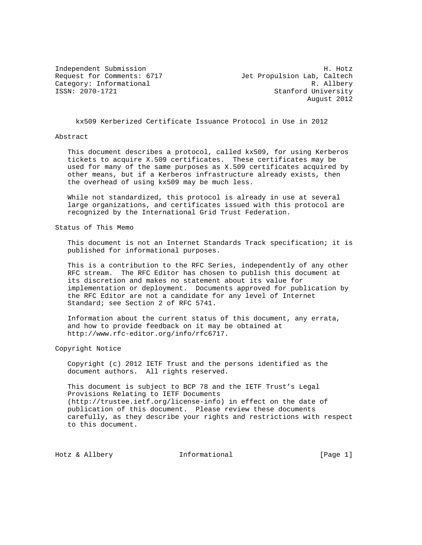Independent Submission **H. Hotz** request for Comments: 6717 1999 Jet Propulsion Lab, Caltech Category: Informational R. Allbery<br>
ISSN: 2070-1721 Stanford University Stanford University August 2012

kx509 Kerberized Certificate Issuance Protocol in Use in 2012

### Abstract

 This document describes a protocol, called kx509, for using Kerberos tickets to acquire X.509 certificates. These certificates may be used for many of the same purposes as X.509 certificates acquired by other means, but if a Kerberos infrastructure already exists, then the overhead of using kx509 may be much less.

 While not standardized, this protocol is already in use at several large organizations, and certificates issued with this protocol are recognized by the International Grid Trust Federation.

Status of This Memo

 This document is not an Internet Standards Track specification; it is published for informational purposes.

 This is a contribution to the RFC Series, independently of any other RFC stream. The RFC Editor has chosen to publish this document at its discretion and makes no statement about its value for implementation or deployment. Documents approved for publication by the RFC Editor are not a candidate for any level of Internet Standard; see Section 2 of RFC 5741.

 Information about the current status of this document, any errata, and how to provide feedback on it may be obtained at http://www.rfc-editor.org/info/rfc6717.

Copyright Notice

 Copyright (c) 2012 IETF Trust and the persons identified as the document authors. All rights reserved.

 This document is subject to BCP 78 and the IETF Trust's Legal Provisions Relating to IETF Documents (http://trustee.ietf.org/license-info) in effect on the date of publication of this document. Please review these documents carefully, as they describe your rights and restrictions with respect to this document.

Hotz & Allbery **Informational** [Page 1]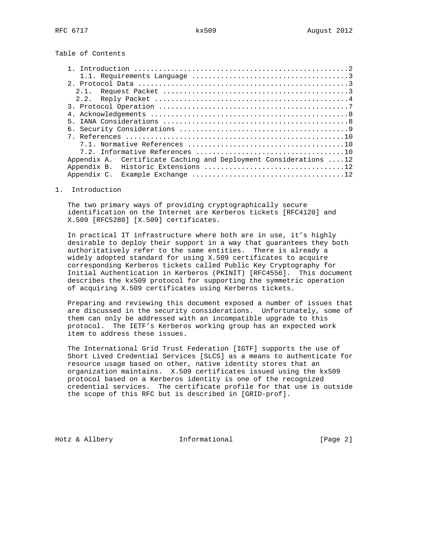Table of Contents

| 2.1.        |                                                      |  |
|-------------|------------------------------------------------------|--|
|             |                                                      |  |
|             |                                                      |  |
|             |                                                      |  |
| 5.          |                                                      |  |
|             |                                                      |  |
|             |                                                      |  |
|             |                                                      |  |
|             |                                                      |  |
| Appendix A. | Certificate Caching and Deployment Considerations 12 |  |
| Appendix B. |                                                      |  |
| Appendix C. |                                                      |  |

# 1. Introduction

 The two primary ways of providing cryptographically secure identification on the Internet are Kerberos tickets [RFC4120] and X.509 [RFC5280] [X.509] certificates.

 In practical IT infrastructure where both are in use, it's highly desirable to deploy their support in a way that guarantees they both authoritatively refer to the same entities. There is already a widely adopted standard for using X.509 certificates to acquire corresponding Kerberos tickets called Public Key Cryptography for Initial Authentication in Kerberos (PKINIT) [RFC4556]. This document describes the kx509 protocol for supporting the symmetric operation of acquiring X.509 certificates using Kerberos tickets.

 Preparing and reviewing this document exposed a number of issues that are discussed in the security considerations. Unfortunately, some of them can only be addressed with an incompatible upgrade to this protocol. The IETF's Kerberos working group has an expected work item to address these issues.

 The International Grid Trust Federation [IGTF] supports the use of Short Lived Credential Services [SLCS] as a means to authenticate for resource usage based on other, native identity stores that an organization maintains. X.509 certificates issued using the kx509 protocol based on a Kerberos identity is one of the recognized credential services. The certificate profile for that use is outside the scope of this RFC but is described in [GRID-prof].

Hotz & Allbery **Informational** [Page 2]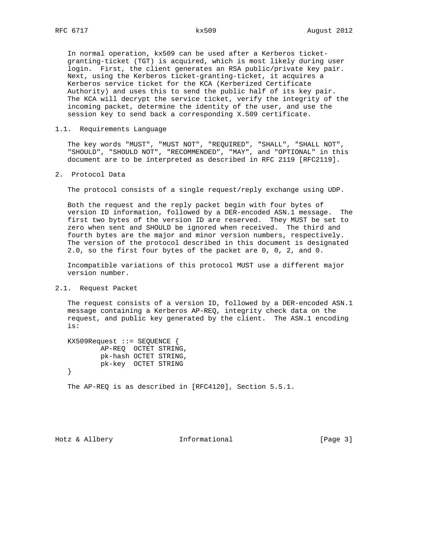In normal operation, kx509 can be used after a Kerberos ticket granting-ticket (TGT) is acquired, which is most likely during user login. First, the client generates an RSA public/private key pair. Next, using the Kerberos ticket-granting-ticket, it acquires a Kerberos service ticket for the KCA (Kerberized Certificate Authority) and uses this to send the public half of its key pair. The KCA will decrypt the service ticket, verify the integrity of the incoming packet, determine the identity of the user, and use the session key to send back a corresponding X.509 certificate.

## 1.1. Requirements Language

 The key words "MUST", "MUST NOT", "REQUIRED", "SHALL", "SHALL NOT", "SHOULD", "SHOULD NOT", "RECOMMENDED", "MAY", and "OPTIONAL" in this document are to be interpreted as described in RFC 2119 [RFC2119].

2. Protocol Data

The protocol consists of a single request/reply exchange using UDP.

 Both the request and the reply packet begin with four bytes of version ID information, followed by a DER-encoded ASN.1 message. The first two bytes of the version ID are reserved. They MUST be set to zero when sent and SHOULD be ignored when received. The third and fourth bytes are the major and minor version numbers, respectively. The version of the protocol described in this document is designated 2.0, so the first four bytes of the packet are 0, 0, 2, and 0.

 Incompatible variations of this protocol MUST use a different major version number.

## 2.1. Request Packet

 The request consists of a version ID, followed by a DER-encoded ASN.1 message containing a Kerberos AP-REQ, integrity check data on the request, and public key generated by the client. The ASN.1 encoding is:

 KX509Request ::= SEQUENCE { AP-REQ OCTET STRING, pk-hash OCTET STRING, pk-key OCTET STRING }

The AP-REQ is as described in [RFC4120], Section 5.5.1.

Hotz & Allbery **Informational** [Page 3]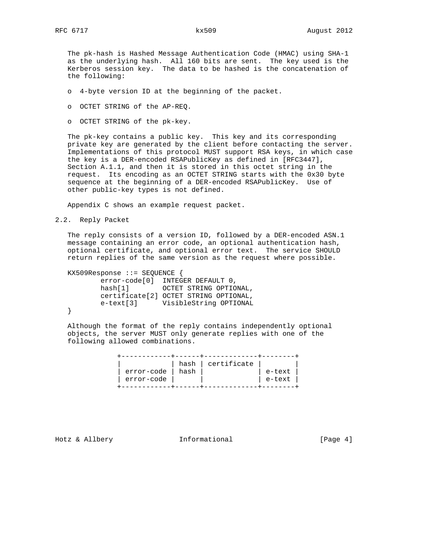The pk-hash is Hashed Message Authentication Code (HMAC) using SHA-1 as the underlying hash. All 160 bits are sent. The key used is the Kerberos session key. The data to be hashed is the concatenation of the following:

- o 4-byte version ID at the beginning of the packet.
- o OCTET STRING of the AP-REQ.
- o OCTET STRING of the pk-key.

 The pk-key contains a public key. This key and its corresponding private key are generated by the client before contacting the server. Implementations of this protocol MUST support RSA keys, in which case the key is a DER-encoded RSAPublicKey as defined in [RFC3447], Section A.1.1, and then it is stored in this octet string in the request. Its encoding as an OCTET STRING starts with the 0x30 byte sequence at the beginning of a DER-encoded RSAPublicKey. Use of other public-key types is not defined.

Appendix C shows an example request packet.

2.2. Reply Packet

 The reply consists of a version ID, followed by a DER-encoded ASN.1 message containing an error code, an optional authentication hash, optional certificate, and optional error text. The service SHOULD return replies of the same version as the request where possible.

 KX509Response ::= SEQUENCE { error-code[0] INTEGER DEFAULT 0, hash[1] OCTET STRING OPTIONAL, certificate[2] OCTET STRING OPTIONAL, e-text[3] VisibleString OPTIONAL }

 Although the format of the reply contains independently optional objects, the server MUST only generate replies with one of the following allowed combinations.

|            |      | hash certificate |        |
|------------|------|------------------|--------|
| error-code | hash |                  | e-text |
| error-code |      |                  | e-text |
|            |      |                  |        |

Hotz & Allbery **Informational** [Page 4]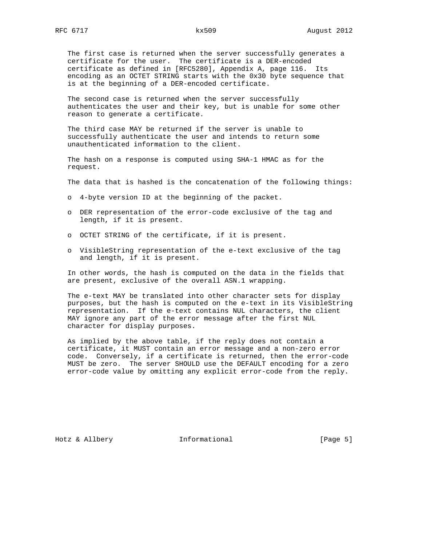The first case is returned when the server successfully generates a certificate for the user. The certificate is a DER-encoded certificate as defined in [RFC5280], Appendix A, page 116. Its encoding as an OCTET STRING starts with the 0x30 byte sequence that is at the beginning of a DER-encoded certificate.

 The second case is returned when the server successfully authenticates the user and their key, but is unable for some other reason to generate a certificate.

 The third case MAY be returned if the server is unable to successfully authenticate the user and intends to return some unauthenticated information to the client.

 The hash on a response is computed using SHA-1 HMAC as for the request.

The data that is hashed is the concatenation of the following things:

- o 4-byte version ID at the beginning of the packet.
- o DER representation of the error-code exclusive of the tag and length, if it is present.
- o OCTET STRING of the certificate, if it is present.
- o VisibleString representation of the e-text exclusive of the tag and length, if it is present.

 In other words, the hash is computed on the data in the fields that are present, exclusive of the overall ASN.1 wrapping.

 The e-text MAY be translated into other character sets for display purposes, but the hash is computed on the e-text in its VisibleString representation. If the e-text contains NUL characters, the client MAY ignore any part of the error message after the first NUL character for display purposes.

 As implied by the above table, if the reply does not contain a certificate, it MUST contain an error message and a non-zero error code. Conversely, if a certificate is returned, then the error-code MUST be zero. The server SHOULD use the DEFAULT encoding for a zero error-code value by omitting any explicit error-code from the reply.

Hotz & Allbery **Informational** [Page 5]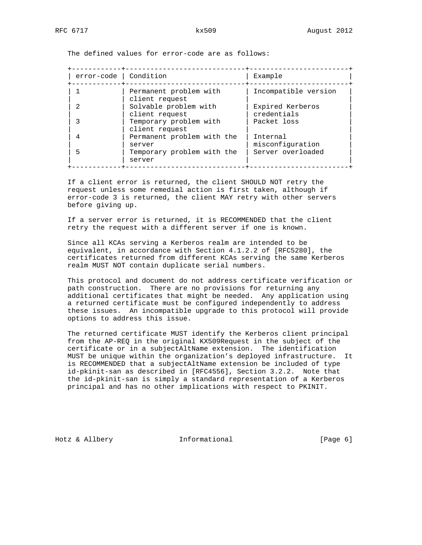The defined values for error-code are as follows:

| error-code | Condition                                | Example                         |
|------------|------------------------------------------|---------------------------------|
|            | Permanent problem with<br>client request | Incompatible version            |
|            | Solvable problem with<br>client request  | Expired Kerberos<br>credentials |
|            | Temporary problem with<br>client request | Packet loss                     |
|            | Permanent problem with the<br>server     | Tnternal<br>misconfiguration    |
| 5          | Temporary problem with the<br>server     | Server overloaded               |

 If a client error is returned, the client SHOULD NOT retry the request unless some remedial action is first taken, although if error-code 3 is returned, the client MAY retry with other servers before giving up.

 If a server error is returned, it is RECOMMENDED that the client retry the request with a different server if one is known.

 Since all KCAs serving a Kerberos realm are intended to be equivalent, in accordance with Section 4.1.2.2 of [RFC5280], the certificates returned from different KCAs serving the same Kerberos realm MUST NOT contain duplicate serial numbers.

This protocol and document do not address certificate verification or path construction. There are no provisions for returning any additional certificates that might be needed. Any application using a returned certificate must be configured independently to address these issues. An incompatible upgrade to this protocol will provide options to address this issue.

 The returned certificate MUST identify the Kerberos client principal from the AP-REQ in the original KX509Request in the subject of the certificate or in a subjectAltName extension. The identification MUST be unique within the organization's deployed infrastructure. It is RECOMMENDED that a subjectAltName extension be included of type id-pkinit-san as described in [RFC4556], Section 3.2.2. Note that the id-pkinit-san is simply a standard representation of a Kerberos principal and has no other implications with respect to PKINIT.

Hotz & Allbery **Informational** [Page 6]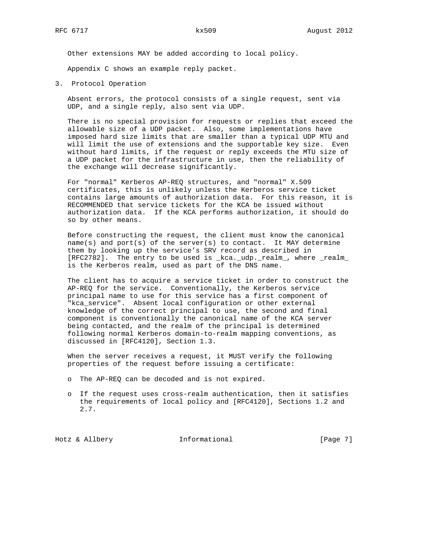Other extensions MAY be added according to local policy.

Appendix C shows an example reply packet.

3. Protocol Operation

 Absent errors, the protocol consists of a single request, sent via UDP, and a single reply, also sent via UDP.

 There is no special provision for requests or replies that exceed the allowable size of a UDP packet. Also, some implementations have imposed hard size limits that are smaller than a typical UDP MTU and will limit the use of extensions and the supportable key size. Even without hard limits, if the request or reply exceeds the MTU size of a UDP packet for the infrastructure in use, then the reliability of the exchange will decrease significantly.

 For "normal" Kerberos AP-REQ structures, and "normal" X.509 certificates, this is unlikely unless the Kerberos service ticket contains large amounts of authorization data. For this reason, it is RECOMMENDED that service tickets for the KCA be issued without authorization data. If the KCA performs authorization, it should do so by other means.

 Before constructing the request, the client must know the canonical name(s) and port(s) of the server(s) to contact. It MAY determine them by looking up the service's SRV record as described in [RFC2782]. The entry to be used is \_kca.\_udp.\_realm\_, where \_realm\_ is the Kerberos realm, used as part of the DNS name.

 The client has to acquire a service ticket in order to construct the AP-REQ for the service. Conventionally, the Kerberos service principal name to use for this service has a first component of "kca\_service". Absent local configuration or other external knowledge of the correct principal to use, the second and final component is conventionally the canonical name of the KCA server being contacted, and the realm of the principal is determined following normal Kerberos domain-to-realm mapping conventions, as discussed in [RFC4120], Section 1.3.

 When the server receives a request, it MUST verify the following properties of the request before issuing a certificate:

- o The AP-REQ can be decoded and is not expired.
- o If the request uses cross-realm authentication, then it satisfies the requirements of local policy and [RFC4120], Sections 1.2 and 2.7.

Hotz & Allbery **Informational** [Page 7]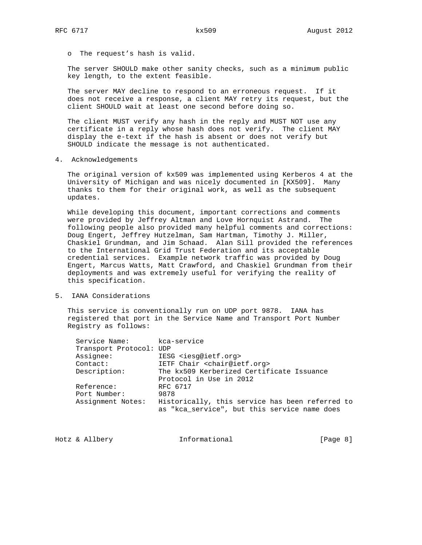o The request's hash is valid.

 The server SHOULD make other sanity checks, such as a minimum public key length, to the extent feasible.

 The server MAY decline to respond to an erroneous request. If it does not receive a response, a client MAY retry its request, but the client SHOULD wait at least one second before doing so.

 The client MUST verify any hash in the reply and MUST NOT use any certificate in a reply whose hash does not verify. The client MAY display the e-text if the hash is absent or does not verify but SHOULD indicate the message is not authenticated.

4. Acknowledgements

 The original version of kx509 was implemented using Kerberos 4 at the University of Michigan and was nicely documented in [KX509]. Many thanks to them for their original work, as well as the subsequent updates.

 While developing this document, important corrections and comments were provided by Jeffrey Altman and Love Hornquist Astrand. The following people also provided many helpful comments and corrections: Doug Engert, Jeffrey Hutzelman, Sam Hartman, Timothy J. Miller, Chaskiel Grundman, and Jim Schaad. Alan Sill provided the references to the International Grid Trust Federation and its acceptable credential services. Example network traffic was provided by Doug Engert, Marcus Watts, Matt Crawford, and Chaskiel Grundman from their deployments and was extremely useful for verifying the reality of this specification.

5. IANA Considerations

 This service is conventionally run on UDP port 9878. IANA has registered that port in the Service Name and Transport Port Number Registry as follows:

| Service Name:           | kca-service                                     |
|-------------------------|-------------------------------------------------|
| Transport Protocol: UDP |                                                 |
| Assignee:               | IESG <iesq@ietf.org></iesq@ietf.org>            |
| Contact:                | IETF Chair <chair@ietf.org></chair@ietf.org>    |
| Description:            | The kx509 Kerberized Certificate Issuance       |
|                         | Protocol in Use in 2012                         |
| Reference:              | RFC 6717                                        |
| Port Number:            | 9878                                            |
| Assignment Notes:       | Historically, this service has been referred to |
|                         | as "kca service", but this service name does    |
|                         |                                                 |

| Hotz & Allbery | Informational | [Page 8] |  |
|----------------|---------------|----------|--|
|                |               |          |  |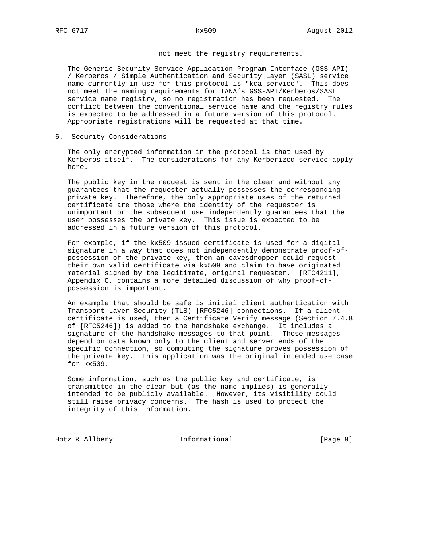## not meet the registry requirements.

 The Generic Security Service Application Program Interface (GSS-API) / Kerberos / Simple Authentication and Security Layer (SASL) service name currently in use for this protocol is "kca\_service". This does not meet the naming requirements for IANA's GSS-API/Kerberos/SASL service name registry, so no registration has been requested. The conflict between the conventional service name and the registry rules is expected to be addressed in a future version of this protocol. Appropriate registrations will be requested at that time.

6. Security Considerations

 The only encrypted information in the protocol is that used by Kerberos itself. The considerations for any Kerberized service apply here.

 The public key in the request is sent in the clear and without any guarantees that the requester actually possesses the corresponding private key. Therefore, the only appropriate uses of the returned certificate are those where the identity of the requester is unimportant or the subsequent use independently guarantees that the user possesses the private key. This issue is expected to be addressed in a future version of this protocol.

 For example, if the kx509-issued certificate is used for a digital signature in a way that does not independently demonstrate proof-of possession of the private key, then an eavesdropper could request their own valid certificate via kx509 and claim to have originated material signed by the legitimate, original requester. [RFC4211], Appendix C, contains a more detailed discussion of why proof-of possession is important.

 An example that should be safe is initial client authentication with Transport Layer Security (TLS) [RFC5246] connections. If a client certificate is used, then a Certificate Verify message (Section 7.4.8 of [RFC5246]) is added to the handshake exchange. It includes a signature of the handshake messages to that point. Those messages depend on data known only to the client and server ends of the specific connection, so computing the signature proves possession of the private key. This application was the original intended use case for kx509.

 Some information, such as the public key and certificate, is transmitted in the clear but (as the name implies) is generally intended to be publicly available. However, its visibility could still raise privacy concerns. The hash is used to protect the integrity of this information.

Hotz & Allbery **Informational** [Page 9]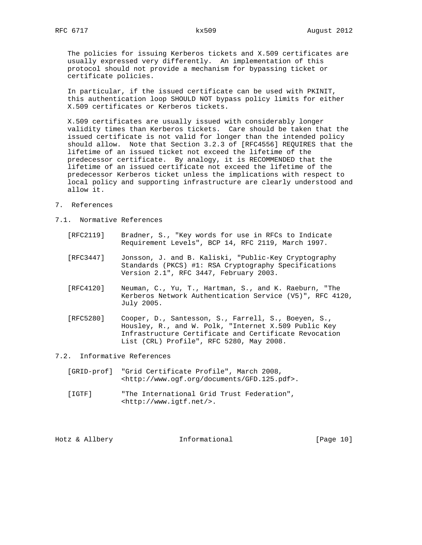The policies for issuing Kerberos tickets and X.509 certificates are usually expressed very differently. An implementation of this protocol should not provide a mechanism for bypassing ticket or certificate policies.

 In particular, if the issued certificate can be used with PKINIT, this authentication loop SHOULD NOT bypass policy limits for either X.509 certificates or Kerberos tickets.

 X.509 certificates are usually issued with considerably longer validity times than Kerberos tickets. Care should be taken that the issued certificate is not valid for longer than the intended policy should allow. Note that Section 3.2.3 of [RFC4556] REQUIRES that the lifetime of an issued ticket not exceed the lifetime of the predecessor certificate. By analogy, it is RECOMMENDED that the lifetime of an issued certificate not exceed the lifetime of the predecessor Kerberos ticket unless the implications with respect to local policy and supporting infrastructure are clearly understood and allow it.

- 7. References
- 7.1. Normative References
	- [RFC2119] Bradner, S., "Key words for use in RFCs to Indicate Requirement Levels", BCP 14, RFC 2119, March 1997.
	- [RFC3447] Jonsson, J. and B. Kaliski, "Public-Key Cryptography Standards (PKCS) #1: RSA Cryptography Specifications Version 2.1", RFC 3447, February 2003.
	- [RFC4120] Neuman, C., Yu, T., Hartman, S., and K. Raeburn, "The Kerberos Network Authentication Service (V5)", RFC 4120, July 2005.
	- [RFC5280] Cooper, D., Santesson, S., Farrell, S., Boeyen, S., Housley, R., and W. Polk, "Internet X.509 Public Key Infrastructure Certificate and Certificate Revocation List (CRL) Profile", RFC 5280, May 2008.

### 7.2. Informative References

- [GRID-prof] "Grid Certificate Profile", March 2008, <http://www.ogf.org/documents/GFD.125.pdf>.
- [IGTF] "The International Grid Trust Federation", <http://www.igtf.net/>.

Hotz & Allbery **Informational** [Page 10]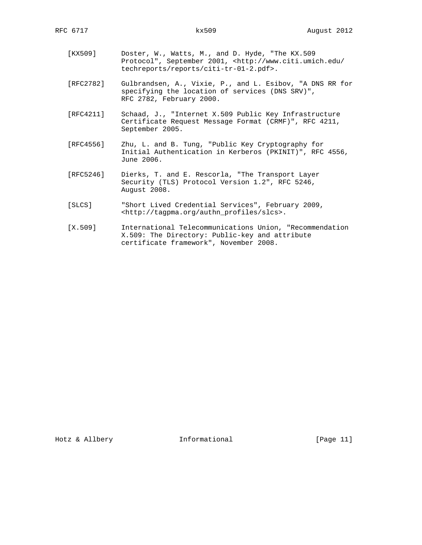- [KX509] Doster, W., Watts, M., and D. Hyde, "The KX.509 Protocol", September 2001, <http://www.citi.umich.edu/ techreports/reports/citi-tr-01-2.pdf>.
- [RFC2782] Gulbrandsen, A., Vixie, P., and L. Esibov, "A DNS RR for specifying the location of services (DNS SRV)", RFC 2782, February 2000.
- [RFC4211] Schaad, J., "Internet X.509 Public Key Infrastructure Certificate Request Message Format (CRMF)", RFC 4211, September 2005.
- [RFC4556] Zhu, L. and B. Tung, "Public Key Cryptography for Initial Authentication in Kerberos (PKINIT)", RFC 4556, June 2006.
- [RFC5246] Dierks, T. and E. Rescorla, "The Transport Layer Security (TLS) Protocol Version 1.2", RFC 5246, August 2008.
- [SLCS] "Short Lived Credential Services", February 2009, <http://tagpma.org/authn\_profiles/slcs>.
- [X.509] International Telecommunications Union, "Recommendation X.509: The Directory: Public-key and attribute certificate framework", November 2008.

Hotz & Allbery **Informational** [Page 11]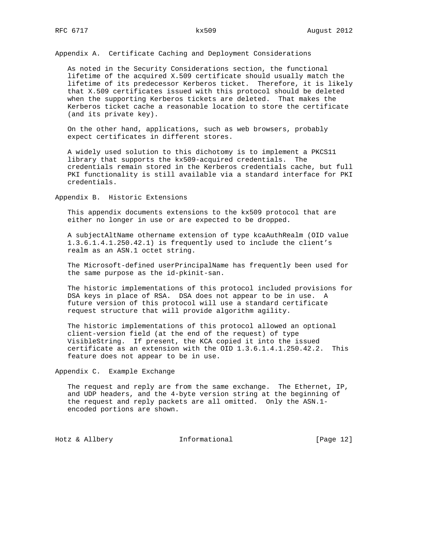Appendix A. Certificate Caching and Deployment Considerations

 As noted in the Security Considerations section, the functional lifetime of the acquired X.509 certificate should usually match the lifetime of its predecessor Kerberos ticket. Therefore, it is likely that X.509 certificates issued with this protocol should be deleted when the supporting Kerberos tickets are deleted. That makes the Kerberos ticket cache a reasonable location to store the certificate (and its private key).

 On the other hand, applications, such as web browsers, probably expect certificates in different stores.

 A widely used solution to this dichotomy is to implement a PKCS11 library that supports the kx509-acquired credentials. The credentials remain stored in the Kerberos credentials cache, but full PKI functionality is still available via a standard interface for PKI credentials.

Appendix B. Historic Extensions

 This appendix documents extensions to the kx509 protocol that are either no longer in use or are expected to be dropped.

 A subjectAltName othername extension of type kcaAuthRealm (OID value 1.3.6.1.4.1.250.42.1) is frequently used to include the client's realm as an ASN.1 octet string.

 The Microsoft-defined userPrincipalName has frequently been used for the same purpose as the id-pkinit-san.

 The historic implementations of this protocol included provisions for DSA keys in place of RSA. DSA does not appear to be in use. A future version of this protocol will use a standard certificate request structure that will provide algorithm agility.

 The historic implementations of this protocol allowed an optional client-version field (at the end of the request) of type VisibleString. If present, the KCA copied it into the issued certificate as an extension with the OID 1.3.6.1.4.1.250.42.2. This feature does not appear to be in use.

Appendix C. Example Exchange

 The request and reply are from the same exchange. The Ethernet, IP, and UDP headers, and the 4-byte version string at the beginning of the request and reply packets are all omitted. Only the ASN.1 encoded portions are shown.

Hotz & Allbery **Informational** [Page 12]